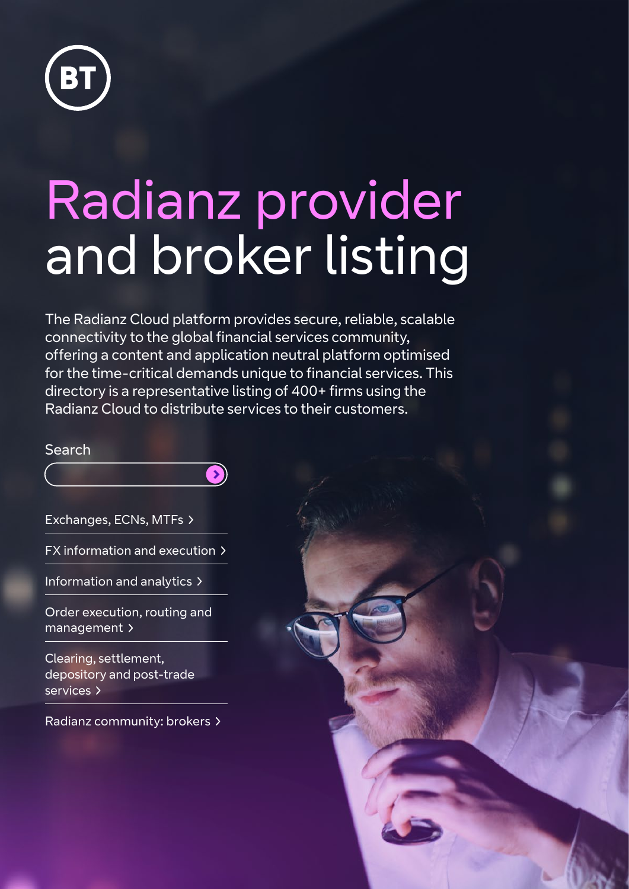

# Radianz provider and broker listing

The Radianz Cloud platform provides secure, reliable, scalable connectivity to the global financial services community, offering a content and application neutral platform optimised for the time-critical demands unique to financial services. This directory is a representative listing of 400+ firms using the Radianz Cloud to distribute services to their customers.

 $\bullet$ 

**Search** 

[Exchanges, ECNs, MTFs](#page-1-0) 

[FX information and execution](#page-3-0) 

[Information and analytics](#page-4-0) 

[Order execution, routing](#page-5-0) and [management](#page-5-0) >

[Clearing, settlement,](#page-7-0)  [depository and](#page-7-0) post-trade [services](#page-7-0) >

[Radianz community: brokers](#page-8-0) 

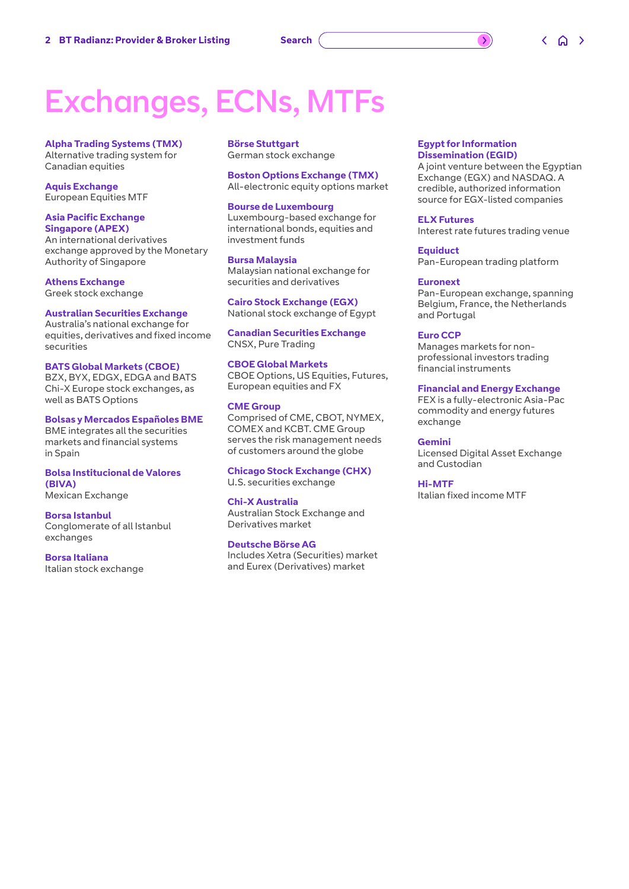### <span id="page-1-0"></span>Exchanges, ECNs, MTFs

**Alpha Trading Systems (TMX)** Alternative trading system for Canadian equities

**Aquis Exchange** European Equities MTF

#### **Asia Pacific Exchange Singapore (APEX)**

An international derivatives exchange approved by the Monetary Authority of Singapore

#### **Athens Exchange**

Greek stock exchange

#### **Australian Securities Exchange**

Australia's national exchange for equities, derivatives and fixed income securities

#### **BATS Global Markets (CBOE)**

BZX, BYX, EDGX, EDGA and BATS Chi-X Europe stock exchanges, as well as BATS Options

#### **Bolsas y Mercados Españoles BME**

BME integrates all the securities markets and financial systems in Spain

**Bolsa Institucional de Valores (BIVA)** Mexican Exchange

### **Borsa Istanbul**

Conglomerate of all Istanbul exchanges

**Borsa Italiana** Italian stock exchange **Börse Stuttgart** German stock exchange

**Boston Options Exchange (TMX)** All-electronic equity options market

#### **Bourse de Luxembourg**

Luxembourg-based exchange for international bonds, equities and investment funds

#### **Bursa Malaysia**

Malaysian national exchange for securities and derivatives

**Cairo Stock Exchange (EGX)** National stock exchange of Egypt

**Canadian Securities Exchange** CNSX, Pure Trading

#### **CBOE Global Markets**

CBOE Options, US Equities, Futures, European equities and FX

#### **CME Group**

Comprised of CME, CBOT, NYMEX, COMEX and KCBT. CME Group serves the risk management needs of customers around the globe

**Chicago Stock Exchange (CHX)** U.S. securities exchange

#### **Chi-X Australia**

Australian Stock Exchange and Derivatives market

#### **Deutsche Börse AG**

Includes Xetra (Securities) market and Eurex (Derivatives) market

#### **Egypt for Information Dissemination (EGID)**

 $\overline{\phantom{a}}$ 

A joint venture between the Egyptian Exchange (EGX) and NASDAQ. A credible, authorized information source for EGX-listed companies

**ELX Futures**

Interest rate futures trading venue

**Equiduct** Pan-European trading platform

#### **Euronext**

Pan-European exchange, spanning Belgium, France, the Netherlands and Portugal

#### **Euro CCP**

Manages markets for nonprofessional investors trading financial instruments

#### **Financial and Energy Exchange**

FEX is a fully-electronic Asia-Pac commodity and energy futures exchange

#### **Gemini**

Licensed Digital Asset Exchange and Custodian

#### **Hi-MTF**

Italian fixed income MTF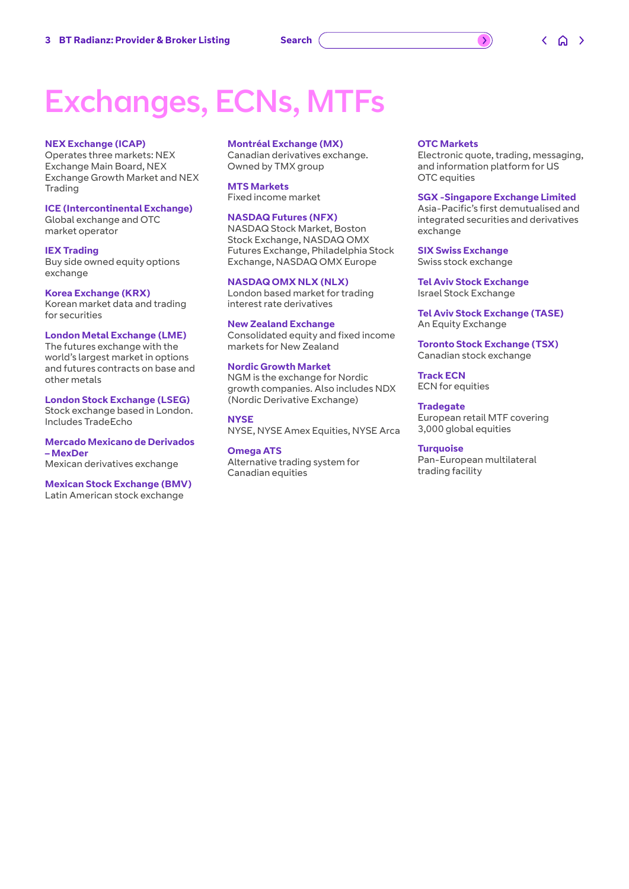### Exchanges, ECNs, MTFs

#### **NEX Exchange (ICAP)**

Operates three markets: NEX Exchange Main Board, NEX Exchange Growth Market and NEX Trading

#### **ICE (Intercontinental Exchange)**

Global exchange and OTC market operator

**IEX Trading** Buy side owned equity options exchange

**Korea Exchange (KRX)** Korean market data and trading for securities

#### **London Metal Exchange (LME)**

The futures exchange with the world's largest market in options and futures contracts on base and other metals

**London Stock Exchange (LSEG)** Stock exchange based in London. Includes TradeEcho

**Mercado Mexicano de Derivados – MexDer** Mexican derivatives exchange

#### **Mexican Stock Exchange (BMV)**  Latin American stock exchange

#### **Montréal Exchange (MX)**

Canadian derivatives exchange. Owned by TMX group

#### **MTS Markets**

Fixed income market

#### **NASDAQ Futures (NFX)**

NASDAQ Stock Market, Boston Stock Exchange, NASDAQ OMX Futures Exchange, Philadelphia Stock Exchange, NASDAQ OMX Europe

#### **NASDAQ OMX NLX (NLX)**

London based market for trading interest rate derivatives

#### **New Zealand Exchange**

Consolidated equity and fixed income markets for New Zealand

#### **Nordic Growth Market**

NGM is the exchange for Nordic growth companies. Also includes NDX (Nordic Derivative Exchange)

**NYSE** NYSE, NYSE Amex Equities, NYSE Arca

**Omega ATS** Alternative trading system for Canadian equities

#### **OTC Markets**

Electronic quote, trading, messaging, and information platform for US OTC equities

 $\rightarrow$ 

#### **SGX -Singapore Exchange Limited**

Asia-Pacific's first demutualised and integrated securities and derivatives exchange

**SIX Swiss Exchange** Swiss stock exchange

**Tel Aviv Stock Exchange** Israel Stock Exchange

**Tel Aviv Stock Exchange (TASE)** An Equity Exchange

**Toronto Stock Exchange (TSX)** Canadian stock exchange

**Track ECN** ECN for equities

**Tradegate** European retail MTF covering 3,000 global equities

#### **Turquoise** Pan-European multilateral trading facility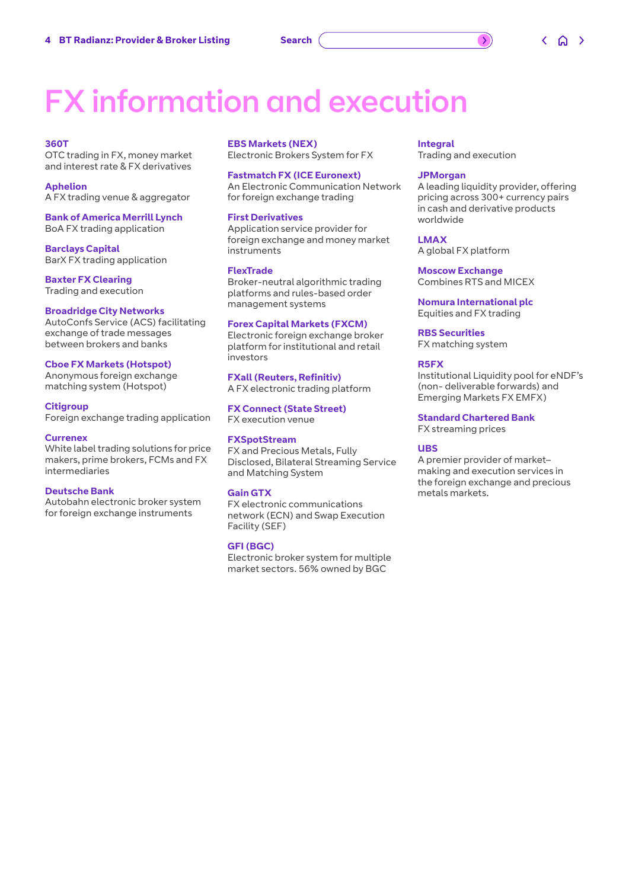## <span id="page-3-0"></span>FX information and execution

#### **360T**

OTC trading in FX, money market and interest rate & FX derivatives

**Aphelion** A FX trading venue & aggregator

**Bank of America Merrill Lynch** BoA FX trading application

**Barclays Capital** BarX FX trading application

**Baxter FX Clearing** Trading and execution

#### **Broadridge City Networks**

AutoConfs Service (ACS) facilitating exchange of trade messages between brokers and banks

#### **Cboe FX Markets (Hotspot)**

Anonymous foreign exchange matching system (Hotspot)

#### **Citigroup**

Foreign exchange trading application

#### **Currenex**

White label trading solutions for price makers, prime brokers, FCMs and FX intermediaries

#### **Deutsche Bank**

Autobahn electronic broker system for foreign exchange instruments

#### **EBS Markets (NEX)**

Electronic Brokers System for FX

#### **Fastmatch FX (ICE Euronext)**

An Electronic Communication Network for foreign exchange trading

#### **First Derivatives**

Application service provider for foreign exchange and money market instruments

#### **FlexTrade**

Broker-neutral algorithmic trading platforms and rules-based order management systems

#### **Forex Capital Markets (FXCM)**

Electronic foreign exchange broker platform for institutional and retail investors

**FXall (Reuters, Refinitiv)** A FX electronic trading platform

#### **FX Connect (State Street)** FX execution venue

#### **FXSpotStream**

FX and Precious Metals, Fully Disclosed, Bilateral Streaming Service and Matching System

#### **Gain GTX**

FX electronic communications network (ECN) and Swap Execution Facility (SEF)

#### **GFI (BGC)**

Electronic broker system for multiple market sectors. 56% owned by BGC

#### **Integral**

Trading and execution

#### **JPMorgan**

A leading liquidity provider, offering pricing across 300+ currency pairs in cash and derivative products worldwide

#### **LMAX**

A global FX platform

**Moscow Exchange** Combines RTS and MICEX

**Nomura International plc** Equities and FX trading

**RBS Securities**

FX matching system

#### **R5FX**

Institutional Liquidity pool for eNDF's (non- deliverable forwards) and Emerging Markets FX EMFX)

#### **Standard Chartered Bank**

FX streaming prices

#### **UBS**

A premier provider of market– making and execution services in the foreign exchange and precious metals markets.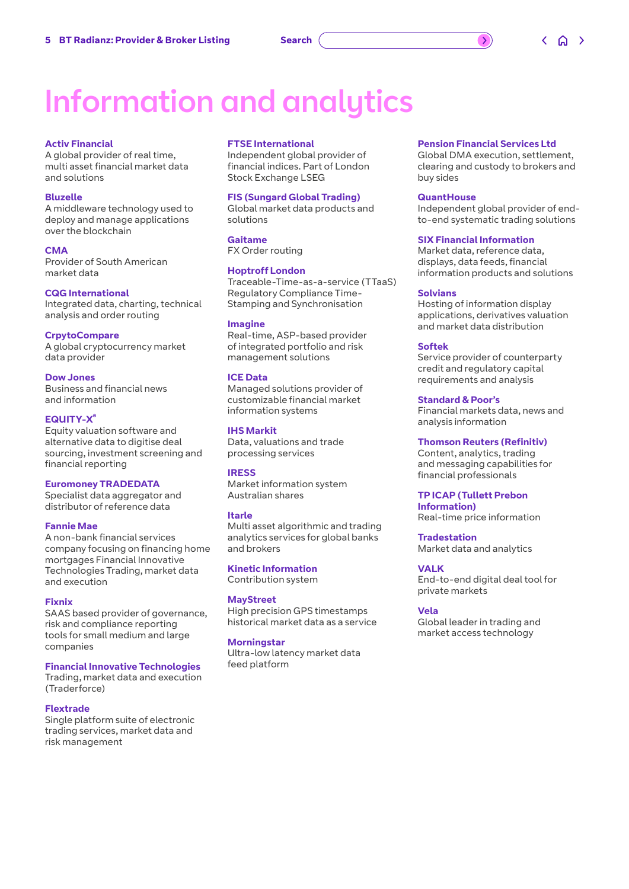### <span id="page-4-0"></span>Information and analytics

#### **Activ Financial**

A global provider of real time, multi asset financial market data and solutions

#### **Bluzelle**

A middleware technology used to deploy and manage applications over the blockchain

#### **CMA**

Provider of South American market data

**CQG International** Integrated data, charting, technical analysis and order routing

#### **CrpytoCompare**

A global cryptocurrency market data provider

#### **Dow Jones**

Business and financial news and information

#### **EQUITY-X®**

Equity valuation software and alternative data to digitise deal sourcing, investment screening and financial reporting

#### **Euromoney TRADEDATA**

Specialist data aggregator and distributor of reference data

#### **Fannie Mae**

A non-bank financial services company focusing on financing home mortgages Financial Innovative Technologies Trading, market data and execution

#### **Fixnix**

SAAS based provider of governance, risk and compliance reporting tools for small medium and large companies

#### **Financial Innovative Technologies**

Trading, market data and execution (Traderforce)

#### **Flextrade**

Single platform suite of electronic trading services, market data and risk management

#### **FTSE International**

Independent global provider of financial indices. Part of London Stock Exchange LSEG

#### **FIS (Sungard Global Trading)**

Global market data products and solutions

#### **Gaitame**

FX Order routing

#### **Hoptroff London**

Traceable-Time-as-a-service (TTaaS) Regulatory Compliance Time-Stamping and Synchronisation

#### **Imagine**

Real-time, ASP-based provider of integrated portfolio and risk management solutions

#### **ICE Data**

Managed solutions provider of customizable financial market information systems

#### **IHS Markit**

Data, valuations and trade processing services

#### **IRESS**

Market information system Australian shares

#### **Itarle**

Multi asset algorithmic and trading analytics services for global banks and brokers

**Kinetic Information** Contribution system

**MayStreet** High precision GPS timestamps historical market data as a service

#### **Morningstar**

Ultra-low latency market data feed platform

#### **Pension Financial Services Ltd**

Global DMA execution, settlement, clearing and custody to brokers and buy sides

#### **QuantHouse**

Independent global provider of endto-end systematic trading solutions

#### **SIX Financial Information**

Market data, reference data, displays, data feeds, financial information products and solutions

#### **Solvians**

Hosting of information display applications, derivatives valuation and market data distribution

#### **Softek**

Service provider of counterparty credit and regulatory capital requirements and analysis

#### **Standard & Poor's**

Financial markets data, news and analysis information

#### **Thomson Reuters (Refinitiv)**

Content, analytics, trading and messaging capabilities for financial professionals

#### **TP ICAP (Tullett Prebon**

**Information)** Real-time price information

**Tradestation** Market data and analytics

#### **VALK**

End-to-end digital deal tool for private markets

#### **Vela**

Global leader in trading and market access technology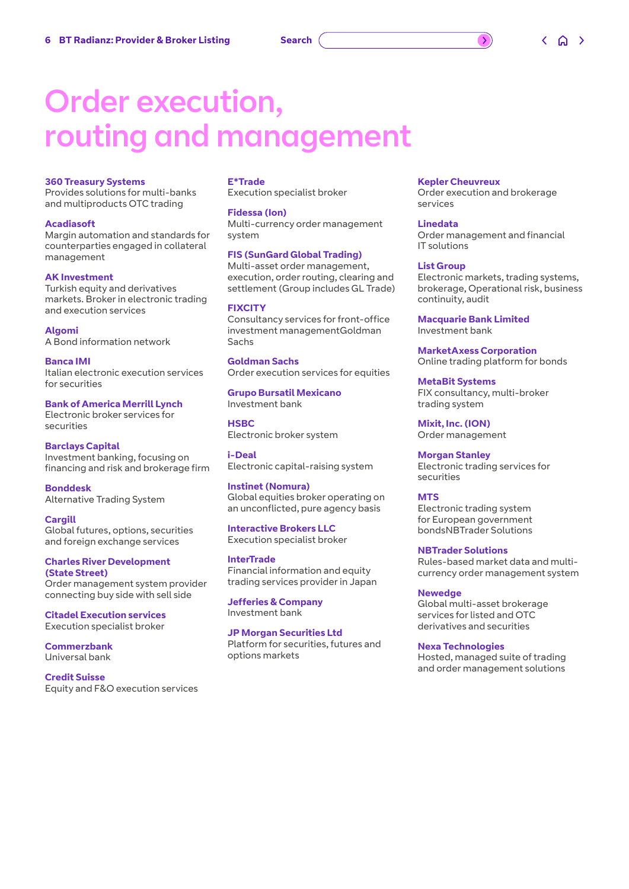### <span id="page-5-0"></span>Order execution, routing and management

#### **360 Treasury Systems**

Provides solutions for multi-banks and multiproducts OTC trading

#### **Acadiasoft**

Margin automation and standards for counterparties engaged in collateral management

#### **AK Investment**

Turkish equity and derivatives markets. Broker in electronic trading and execution services

**Algomi** A Bond information network

**Banca IMI** Italian electronic execution services for securities

#### **Bank of America Merrill Lynch**

Electronic broker services for securities

#### **Barclays Capital**

Investment banking, focusing on financing and risk and brokerage firm

**Bonddesk** Alternative Trading System

**Cargill** Global futures, options, securities and foreign exchange services

**Charles River Development (State Street)** Order management system provider connecting buy side with sell side

**Citadel Execution services** Execution specialist broker

**Commerzbank** Universal bank

**Credit Suisse** Equity and F&O execution services

#### **E\*Trade**

Execution specialist broker

#### **Fidessa (Ion)**

Multi-currency order management system

#### **FIS (SunGard Global Trading)**

Multi-asset order management, execution, order routing, clearing and settlement (Group includes GL Trade)

#### **FIXCITY**

Consultancy services for front-office investment managementGoldman Sachs

**Goldman Sachs**  Order execution services for equities

**Grupo Bursatil Mexicano** Investment bank

**HSBC** Electronic broker system

**i-Deal** Electronic capital-raising system

**Instinet (Nomura)** Global equities broker operating on an unconflicted, pure agency basis

**Interactive Brokers LLC** Execution specialist broker

**InterTrade** Financial information and equity trading services provider in Japan

**Jefferies & Company** Investment bank

**JP Morgan Securities Ltd** Platform for securities, futures and options markets

#### **Kepler Cheuvreux**

Order execution and brokerage services

**Linedata** Order management and financial IT solutions

#### **List Group**

Electronic markets, trading systems, brokerage, Operational risk, business continuity, audit

**Macquarie Bank Limited** Investment bank

**MarketAxess Corporation** Online trading platform for bonds

**MetaBit Systems** FIX consultancy, multi-broker trading system

**Mixit, Inc. (ION)** Order management

**Morgan Stanley** Electronic trading services for securities

#### **MTS**

Electronic trading system for European government bondsNBTrader Solutions

**NBTrader Solutions**

Rules-based market data and multicurrency order management system

#### **Newedge**

Global multi-asset brokerage services for listed and OTC derivatives and securities

**Nexa Technologies**

Hosted, managed suite of trading and order management solutions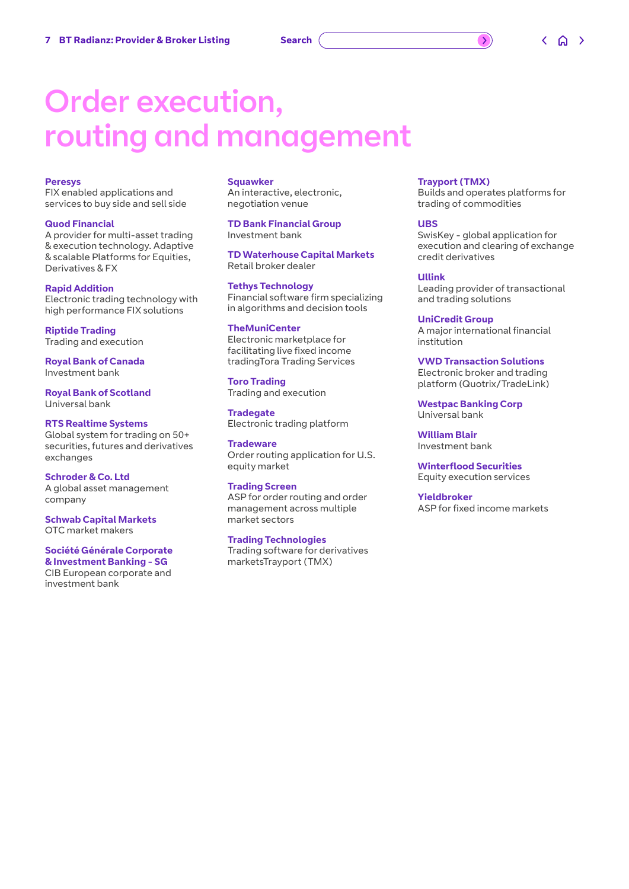### Order execution, routing and management

#### **Peresys**

FIX enabled applications and services to buy side and sell side

#### **Quod Financial**

A provider for multi-asset trading & execution technology. Adaptive & scalable Platforms for Equities, Derivatives & FX

#### **Rapid Addition**

Electronic trading technology with high performance FIX solutions

**Riptide Trading** Trading and execution

**Royal Bank of Canada** Investment bank

**Royal Bank of Scotland** Universal bank

#### **RTS Realtime Systems**

Global system for trading on 50+ securities, futures and derivatives exchanges

**Schroder & Co. Ltd** A global asset management company

**Schwab Capital Markets** OTC market makers

#### **Société Générale Corporate & Investment Banking - SG**

CIB European corporate and investment bank

#### **Squawker**

An interactive, electronic, negotiation venue

**TD Bank Financial Group** Investment bank

**TD Waterhouse Capital Markets** Retail broker dealer

**Tethys Technology** Financial software firm specializing in algorithms and decision tools

#### **TheMuniCenter**

Electronic marketplace for facilitating live fixed income tradingTora Trading Services

#### **Toro Trading**

Trading and execution **Tradegate**

Electronic trading platform

**Tradeware** Order routing application for U.S. equity market

#### **Trading Screen**

ASP for order routing and order management across multiple market sectors

#### **Trading Technologies**

Trading software for derivatives marketsTrayport (TMX)

#### **Trayport (TMX)**

Builds and operates platforms for trading of commodities

#### **UBS**

SwisKey - global application for execution and clearing of exchange credit derivatives

#### **Ullink**

Leading provider of transactional and trading solutions

**UniCredit Group** A major international financial institution

#### **VWD Transaction Solutions**

Electronic broker and trading platform (Quotrix/TradeLink)

**Westpac Banking Corp** Universal bank

**William Blair** Investment bank

**Winterflood Securities** Equity execution services

#### **Yieldbroker** ASP for fixed income markets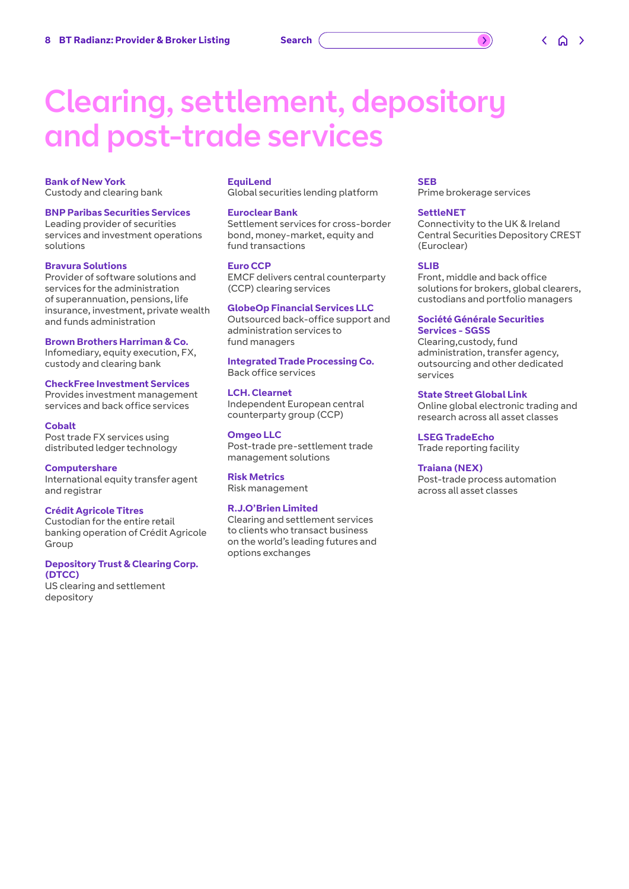### <span id="page-7-0"></span>Clearing, settlement, depository and post-trade services

#### **Bank of New York** Custody and clearing bank

**BNP Paribas Securities Services** Leading provider of securities services and investment operations solutions

#### **Bravura Solutions**

Provider of software solutions and services for the administration of superannuation, pensions, life insurance, investment, private wealth and funds administration

#### **Brown Brothers Harriman & Co.**

Infomediary, equity execution, FX, custody and clearing bank

#### **CheckFree Investment Services**

Provides investment management services and back office services

#### **Cobalt**

Post trade FX services using distributed ledger technology

**Computershare** International equity transfer agent and registrar

#### **Crédit Agricole Titres**

Custodian for the entire retail banking operation of Crédit Agricole Group

#### **Depository Trust & Clearing Corp. (DTCC)**

US clearing and settlement depository

#### **EquiLend**

Global securities lending platform

#### **Euroclear Bank**

Settlement services for cross-border bond, money-market, equity and fund transactions

#### **Euro CCP**

EMCF delivers central counterparty (CCP) clearing services

#### **GlobeOp Financial Services LLC**

Outsourced back-office support and administration services to fund managers

#### **Integrated Trade Processing Co.** Back office services

**LCH. Clearnet**

Independent European central counterparty group (CCP)

#### **Omgeo LLC** Post-trade pre-settlement trade management solutions

**Risk Metrics** Risk management

#### **R.J.O'Brien Limited**

Clearing and settlement services to clients who transact business on the world's leading futures and options exchanges

#### **SEB**

Prime brokerage services

#### **SettleNET**

Connectivity to the UK & Ireland Central Securities Depository CREST (Euroclear)

#### **SLIB**

Front, middle and back office solutions for brokers, global clearers, custodians and portfolio managers

#### **Société Générale Securities Services - SGSS**

Clearing,custody, fund administration, transfer agency, outsourcing and other dedicated services

#### **State Street Global Link**

Online global electronic trading and research across all asset classes

**LSEG TradeEcho** Trade reporting facility

#### **Traiana (NEX)**

Post-trade process automation across all asset classes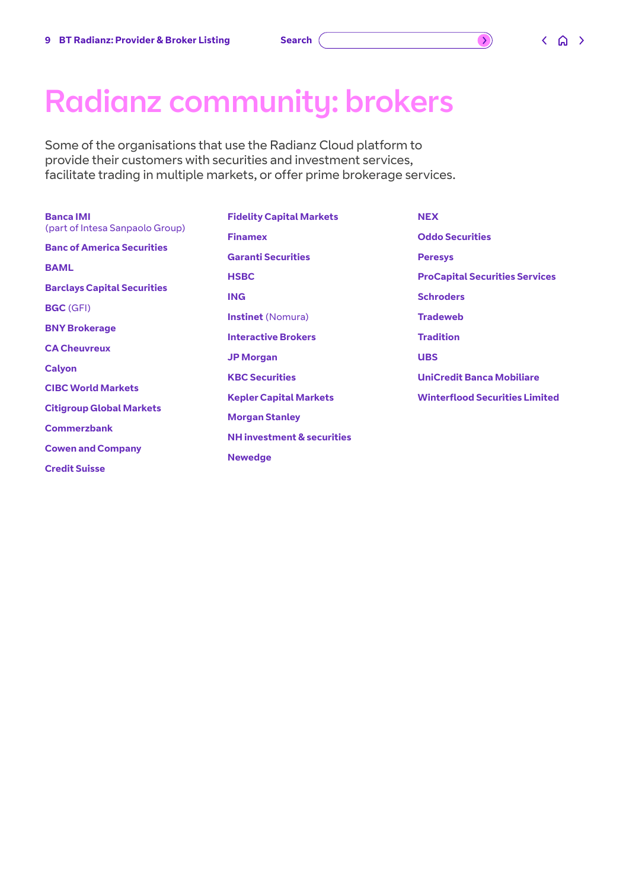<span id="page-8-0"></span>Radianz community: brokers

Some of the organisations that use the Radianz Cloud platform to provide their customers with securities and investment services, facilitate trading in multiple markets, or offer prime brokerage services.

| <b>Banca IMI</b>                   | <b>Fidelity Capital Markets</b>   | <b>NEX</b>                            |
|------------------------------------|-----------------------------------|---------------------------------------|
| (part of Intesa Sanpaolo Group)    | <b>Finamex</b>                    | <b>Oddo Securities</b>                |
| <b>Banc of America Securities</b>  | <b>Garanti Securities</b>         | <b>Peresys</b>                        |
| <b>BAML</b>                        | <b>HSBC</b>                       | <b>ProCapital Securities Services</b> |
| <b>Barclays Capital Securities</b> | <b>ING</b>                        | <b>Schroders</b>                      |
| <b>BGC</b> (GFI)                   |                                   |                                       |
| <b>BNY Brokerage</b>               | <b>Instinet</b> (Nomura)          | <b>Tradeweb</b>                       |
|                                    | <b>Interactive Brokers</b>        | <b>Tradition</b>                      |
| <b>CA Cheuvreux</b>                | <b>JP Morgan</b>                  | <b>UBS</b>                            |
| <b>Calyon</b>                      | <b>KBC Securities</b>             | <b>UniCredit Banca Mobiliare</b>      |
| <b>CIBC World Markets</b>          |                                   |                                       |
| <b>Citigroup Global Markets</b>    | <b>Kepler Capital Markets</b>     | <b>Winterflood Securities Limited</b> |
|                                    | <b>Morgan Stanley</b>             |                                       |
| <b>Commerzbank</b>                 | <b>NH</b> investment & securities |                                       |
| <b>Cowen and Company</b>           | <b>Newedge</b>                    |                                       |
| <b>Credit Suisse</b>               |                                   |                                       |

 $\bigcirc$